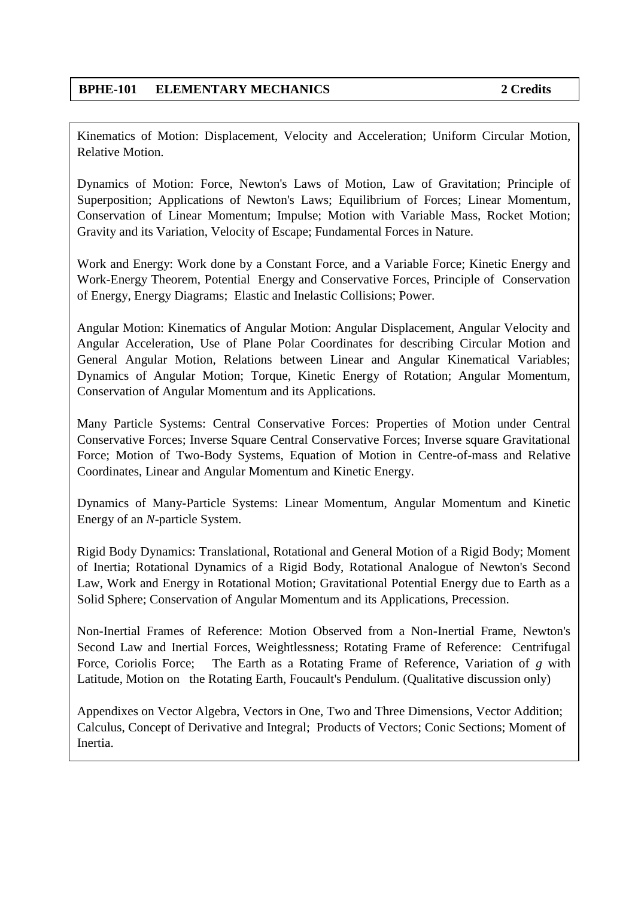Kinematics of Motion: Displacement, Velocity and Acceleration; Uniform Circular Motion, Relative Motion.

Dynamics of Motion: Force, Newton's Laws of Motion, Law of Gravitation; Principle of Superposition; Applications of Newton's Laws; Equilibrium of Forces; Linear Momentum, Conservation of Linear Momentum; Impulse; Motion with Variable Mass, Rocket Motion; Gravity and its Variation, Velocity of Escape; Fundamental Forces in Nature.

Work and Energy: Work done by a Constant Force, and a Variable Force; Kinetic Energy and Work-Energy Theorem, Potential Energy and Conservative Forces, Principle of Conservation of Energy, Energy Diagrams; Elastic and Inelastic Collisions; Power.

Angular Motion: Kinematics of Angular Motion: Angular Displacement, Angular Velocity and Angular Acceleration, Use of Plane Polar Coordinates for describing Circular Motion and General Angular Motion, Relations between Linear and Angular Kinematical Variables; Dynamics of Angular Motion; Torque, Kinetic Energy of Rotation; Angular Momentum, Conservation of Angular Momentum and its Applications.

Many Particle Systems: Central Conservative Forces: Properties of Motion under Central Conservative Forces; Inverse Square Central Conservative Forces; Inverse square Gravitational Force; Motion of Two-Body Systems, Equation of Motion in Centre-of-mass and Relative Coordinates, Linear and Angular Momentum and Kinetic Energy.

Dynamics of Many-Particle Systems: Linear Momentum, Angular Momentum and Kinetic Energy of an *N*-particle System.

Rigid Body Dynamics: Translational, Rotational and General Motion of a Rigid Body; Moment of Inertia; Rotational Dynamics of a Rigid Body, Rotational Analogue of Newton's Second Law, Work and Energy in Rotational Motion; Gravitational Potential Energy due to Earth as a Solid Sphere; Conservation of Angular Momentum and its Applications, Precession.

Non-Inertial Frames of Reference: Motion Observed from a Non-Inertial Frame, Newton's Second Law and Inertial Forces, Weightlessness; Rotating Frame of Reference: Centrifugal Force, Coriolis Force; The Earth as a Rotating Frame of Reference, Variation of *g* with Latitude, Motion on the Rotating Earth, Foucault's Pendulum. (Qualitative discussion only)

Appendixes on Vector Algebra, Vectors in One, Two and Three Dimensions, Vector Addition; Calculus, Concept of Derivative and Integral; Products of Vectors; Conic Sections; Moment of Inertia.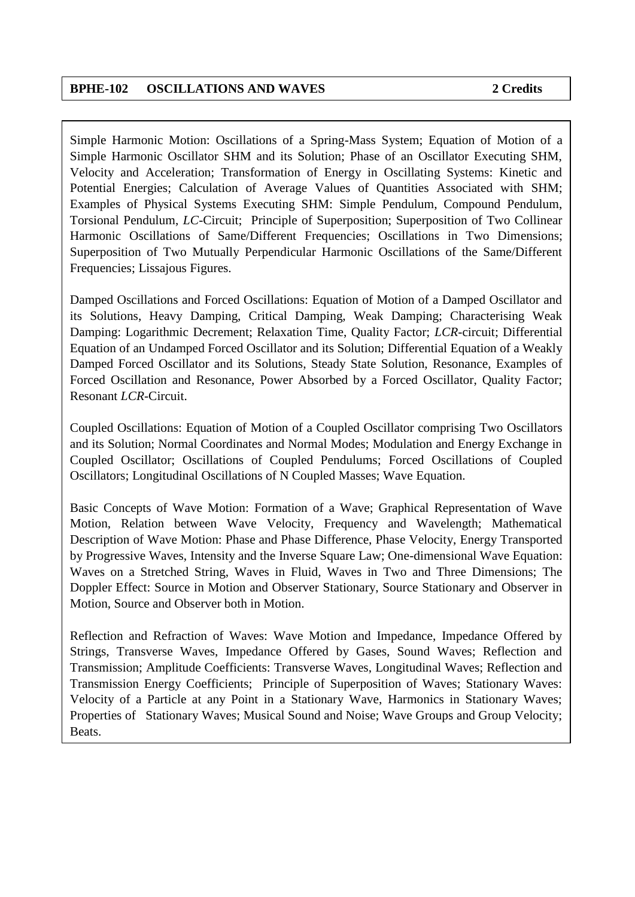Simple Harmonic Motion: Oscillations of a Spring-Mass System; Equation of Motion of a Simple Harmonic Oscillator SHM and its Solution; Phase of an Oscillator Executing SHM, Velocity and Acceleration; Transformation of Energy in Oscillating Systems: Kinetic and Potential Energies; Calculation of Average Values of Quantities Associated with SHM; Examples of Physical Systems Executing SHM: Simple Pendulum, Compound Pendulum, Torsional Pendulum, *LC*-Circuit; Principle of Superposition; Superposition of Two Collinear Harmonic Oscillations of Same/Different Frequencies; Oscillations in Two Dimensions; Superposition of Two Mutually Perpendicular Harmonic Oscillations of the Same/Different Frequencies; Lissajous Figures.

Damped Oscillations and Forced Oscillations: Equation of Motion of a Damped Oscillator and its Solutions, Heavy Damping, Critical Damping, Weak Damping; Characterising Weak Damping: Logarithmic Decrement; Relaxation Time, Quality Factor; *LCR-*circuit; Differential Equation of an Undamped Forced Oscillator and its Solution; Differential Equation of a Weakly Damped Forced Oscillator and its Solutions, Steady State Solution, Resonance, Examples of Forced Oscillation and Resonance, Power Absorbed by a Forced Oscillator, Quality Factor; Resonant *LCR*-Circuit.

Coupled Oscillations: Equation of Motion of a Coupled Oscillator comprising Two Oscillators and its Solution; Normal Coordinates and Normal Modes; Modulation and Energy Exchange in Coupled Oscillator; Oscillations of Coupled Pendulums; Forced Oscillations of Coupled Oscillators; Longitudinal Oscillations of N Coupled Masses; Wave Equation.

Basic Concepts of Wave Motion: Formation of a Wave; Graphical Representation of Wave Motion, Relation between Wave Velocity, Frequency and Wavelength; Mathematical Description of Wave Motion: Phase and Phase Difference, Phase Velocity, Energy Transported by Progressive Waves, Intensity and the Inverse Square Law; One-dimensional Wave Equation: Waves on a Stretched String, Waves in Fluid, Waves in Two and Three Dimensions; The Doppler Effect: Source in Motion and Observer Stationary, Source Stationary and Observer in Motion, Source and Observer both in Motion.

Reflection and Refraction of Waves: Wave Motion and Impedance, Impedance Offered by Strings, Transverse Waves, Impedance Offered by Gases, Sound Waves; Reflection and Transmission; Amplitude Coefficients: Transverse Waves, Longitudinal Waves; Reflection and Transmission Energy Coefficients; Principle of Superposition of Waves; Stationary Waves: Velocity of a Particle at any Point in a Stationary Wave, Harmonics in Stationary Waves; Properties of Stationary Waves; Musical Sound and Noise; Wave Groups and Group Velocity; Beats.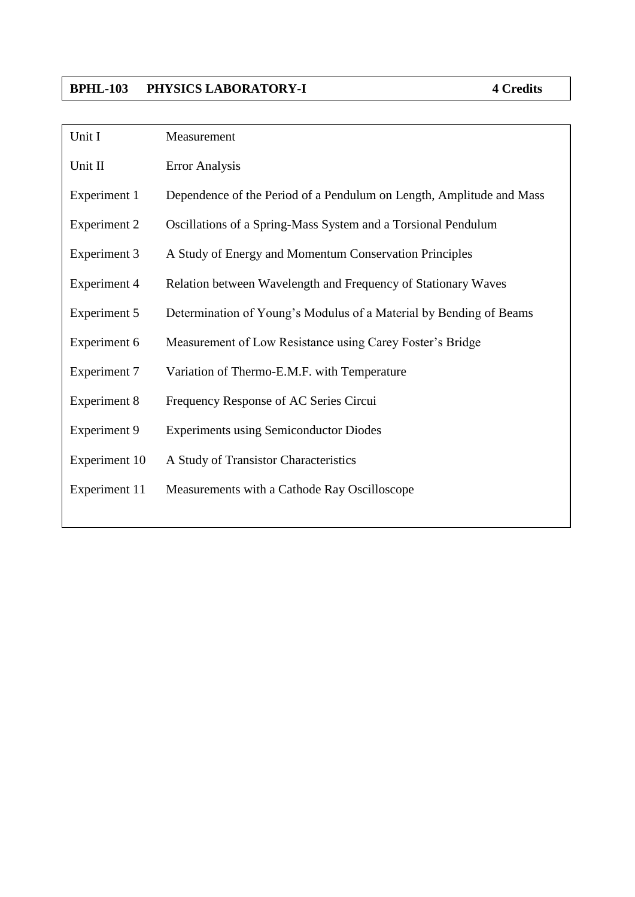### **BPHL-103 PHYSICS LABORATORY-I 4 Credits**

| Unit I              | Measurement                                                          |
|---------------------|----------------------------------------------------------------------|
| Unit II             | <b>Error Analysis</b>                                                |
| Experiment 1        | Dependence of the Period of a Pendulum on Length, Amplitude and Mass |
| <b>Experiment 2</b> | Oscillations of a Spring-Mass System and a Torsional Pendulum        |
| Experiment 3        | A Study of Energy and Momentum Conservation Principles               |
| <b>Experiment 4</b> | Relation between Wavelength and Frequency of Stationary Waves        |
| <b>Experiment 5</b> | Determination of Young's Modulus of a Material by Bending of Beams   |
| Experiment 6        | Measurement of Low Resistance using Carey Foster's Bridge            |
| <b>Experiment 7</b> | Variation of Thermo-E.M.F. with Temperature                          |
| <b>Experiment 8</b> | Frequency Response of AC Series Circui                               |
| <b>Experiment 9</b> | <b>Experiments using Semiconductor Diodes</b>                        |
| Experiment 10       | A Study of Transistor Characteristics                                |
| Experiment 11       | Measurements with a Cathode Ray Oscilloscope                         |
|                     |                                                                      |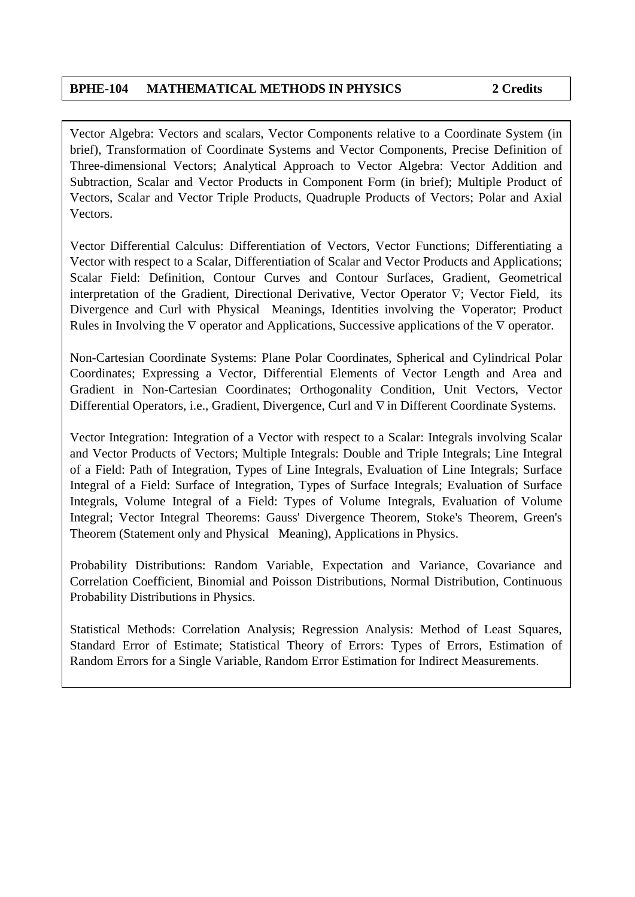Vector Algebra: Vectors and scalars, Vector Components relative to a Coordinate System (in brief), Transformation of Coordinate Systems and Vector Components, Precise Definition of Three-dimensional Vectors; Analytical Approach to Vector Algebra: Vector Addition and Subtraction, Scalar and Vector Products in Component Form (in brief); Multiple Product of Vectors, Scalar and Vector Triple Products, Quadruple Products of Vectors; Polar and Axial Vectors.

Vector Differential Calculus: Differentiation of Vectors, Vector Functions; Differentiating a Vector with respect to a Scalar, Differentiation of Scalar and Vector Products and Applications; Scalar Field: Definition, Contour Curves and Contour Surfaces, Gradient, Geometrical interpretation of the Gradient, Directional Derivative, Vector Operator  $\nabla$ ; Vector Field, its Divergence and Curl with Physical Meanings, Identities involving the  $\nabla$ operator; Product Rules in Involving the  $\nabla$  operator and Applications, Successive applications of the  $\nabla$  operator.

Non-Cartesian Coordinate Systems: Plane Polar Coordinates, Spherical and Cylindrical Polar Coordinates; Expressing a Vector, Differential Elements of Vector Length and Area and Gradient in Non-Cartesian Coordinates; Orthogonality Condition, Unit Vectors, Vector Differential Operators, i.e., Gradient, Divergence, Curl and  $\nabla$  in Different Coordinate Systems.

Vector Integration: Integration of a Vector with respect to a Scalar: Integrals involving Scalar and Vector Products of Vectors; Multiple Integrals: Double and Triple Integrals; Line Integral of a Field: Path of Integration, Types of Line Integrals, Evaluation of Line Integrals; Surface Integral of a Field: Surface of Integration, Types of Surface Integrals; Evaluation of Surface Integrals, Volume Integral of a Field: Types of Volume Integrals, Evaluation of Volume Integral; Vector Integral Theorems: Gauss' Divergence Theorem, Stoke's Theorem, Green's Theorem (Statement only and Physical Meaning), Applications in Physics.

Probability Distributions: Random Variable, Expectation and Variance, Covariance and Correlation Coefficient, Binomial and Poisson Distributions, Normal Distribution, Continuous Probability Distributions in Physics.

Statistical Methods: Correlation Analysis; Regression Analysis: Method of Least Squares, Standard Error of Estimate; Statistical Theory of Errors: Types of Errors, Estimation of Random Errors for a Single Variable, Random Error Estimation for Indirect Measurements.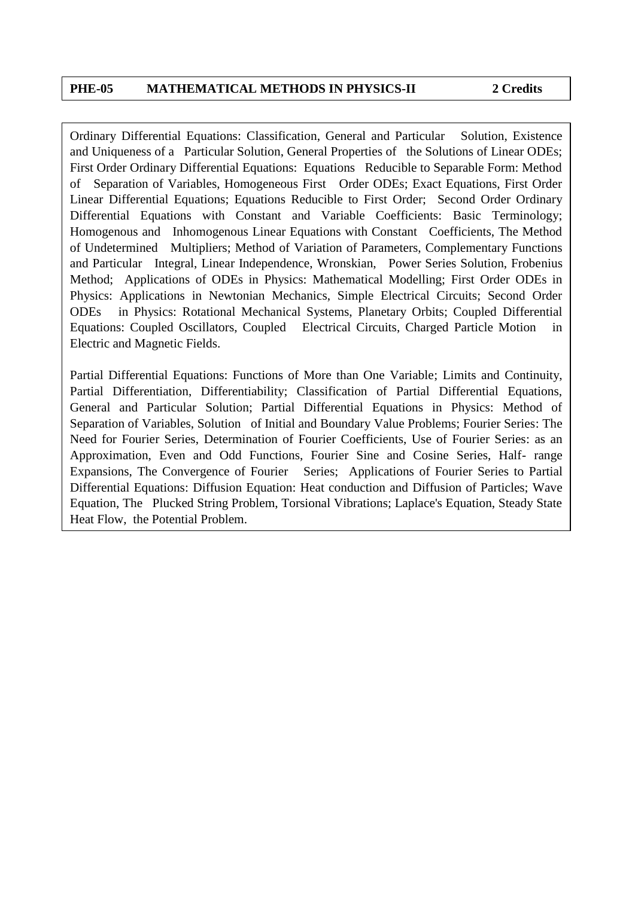Ordinary Differential Equations: Classification, General and Particular Solution, Existence and Uniqueness of a Particular Solution, General Properties of the Solutions of Linear ODEs; First Order Ordinary Differential Equations: Equations Reducible to Separable Form: Method of Separation of Variables, Homogeneous First Order ODEs; Exact Equations, First Order Linear Differential Equations; Equations Reducible to First Order; Second Order Ordinary Differential Equations with Constant and Variable Coefficients: Basic Terminology; Homogenous and Inhomogenous Linear Equations with Constant Coefficients, The Method of Undetermined Multipliers; Method of Variation of Parameters, Complementary Functions and Particular Integral, Linear Independence, Wronskian, Power Series Solution, Frobenius Method; Applications of ODEs in Physics: Mathematical Modelling; First Order ODEs in Physics: Applications in Newtonian Mechanics, Simple Electrical Circuits; Second Order ODEs in Physics: Rotational Mechanical Systems, Planetary Orbits; Coupled Differential Equations: Coupled Oscillators, Coupled Electrical Circuits, Charged Particle Motion in Electric and Magnetic Fields.

Partial Differential Equations: Functions of More than One Variable; Limits and Continuity, Partial Differentiation, Differentiability; Classification of Partial Differential Equations, General and Particular Solution; Partial Differential Equations in Physics: Method of Separation of Variables, Solution of Initial and Boundary Value Problems; Fourier Series: The Need for Fourier Series, Determination of Fourier Coefficients, Use of Fourier Series: as an Approximation, Even and Odd Functions, Fourier Sine and Cosine Series, Half- range Expansions, The Convergence of Fourier Series; Applications of Fourier Series to Partial Differential Equations: Diffusion Equation: Heat conduction and Diffusion of Particles; Wave Equation, The Plucked String Problem, Torsional Vibrations; Laplace's Equation, Steady State Heat Flow, the Potential Problem.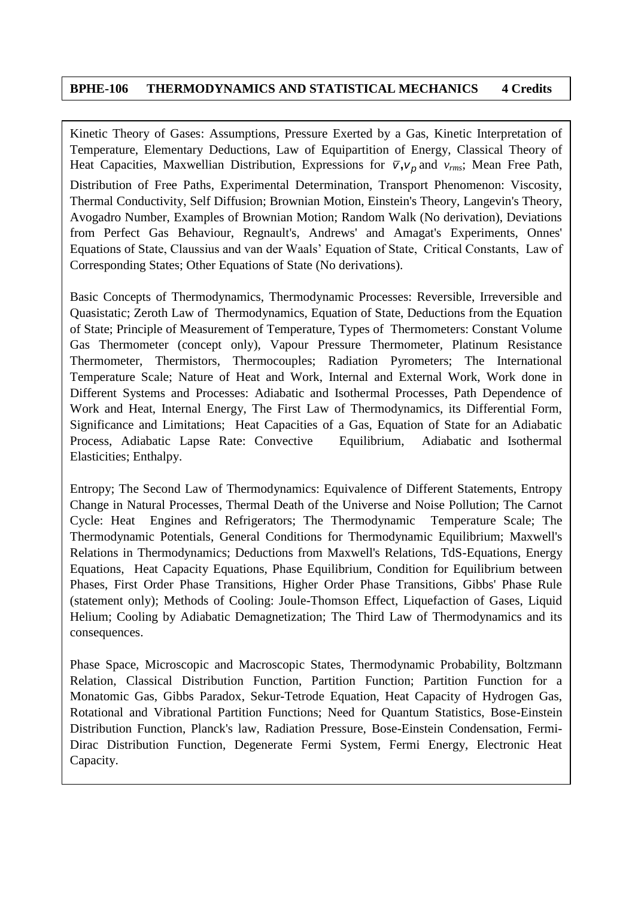### **BPHE-106 THERMODYNAMICS AND STATISTICAL MECHANICS 4 Credits**

Kinetic Theory of Gases: Assumptions, Pressure Exerted by a Gas, Kinetic Interpretation of Temperature, Elementary Deductions, Law of Equipartition of Energy, Classical Theory of Heat Capacities, Maxwellian Distribution, Expressions for  $\bar{v}$ ,  $v_p$  and  $v_{rms}$ ; Mean Free Path, Distribution of Free Paths, Experimental Determination, Transport Phenomenon: Viscosity, Thermal Conductivity, Self Diffusion; Brownian Motion, Einstein's Theory, Langevin's Theory, Avogadro Number, Examples of Brownian Motion; Random Walk (No derivation), Deviations from Perfect Gas Behaviour, Regnault's, Andrews' and Amagat's Experiments, Onnes' Equations of State, Claussius and van der Waals' Equation of State, Critical Constants, Law of Corresponding States; Other Equations of State (No derivations).

Basic Concepts of Thermodynamics, Thermodynamic Processes: Reversible, Irreversible and Quasistatic; Zeroth Law of Thermodynamics, Equation of State, Deductions from the Equation of State; Principle of Measurement of Temperature, Types of Thermometers: Constant Volume Gas Thermometer (concept only), Vapour Pressure Thermometer, Platinum Resistance Thermometer, Thermistors, Thermocouples; Radiation Pyrometers; The International Temperature Scale; Nature of Heat and Work, Internal and External Work, Work done in Different Systems and Processes: Adiabatic and Isothermal Processes, Path Dependence of Work and Heat, Internal Energy, The First Law of Thermodynamics, its Differential Form, Significance and Limitations; Heat Capacities of a Gas, Equation of State for an Adiabatic Process, Adiabatic Lapse Rate: Convective Equilibrium, Adiabatic and Isothermal Elasticities; Enthalpy.

Entropy; The Second Law of Thermodynamics: Equivalence of Different Statements, Entropy Change in Natural Processes, Thermal Death of the Universe and Noise Pollution; The Carnot Cycle: Heat Engines and Refrigerators; The Thermodynamic Temperature Scale; The Thermodynamic Potentials, General Conditions for Thermodynamic Equilibrium; Maxwell's Relations in Thermodynamics; Deductions from Maxwell's Relations, TdS-Equations, Energy Equations, Heat Capacity Equations, Phase Equilibrium, Condition for Equilibrium between Phases, First Order Phase Transitions, Higher Order Phase Transitions, Gibbs' Phase Rule (statement only); Methods of Cooling: Joule-Thomson Effect, Liquefaction of Gases, Liquid Helium; Cooling by Adiabatic Demagnetization; The Third Law of Thermodynamics and its consequences.

Phase Space, Microscopic and Macroscopic States, Thermodynamic Probability, Boltzmann Relation, Classical Distribution Function, Partition Function; Partition Function for a Monatomic Gas, Gibbs Paradox, Sekur-Tetrode Equation, Heat Capacity of Hydrogen Gas, Rotational and Vibrational Partition Functions; Need for Quantum Statistics, Bose-Einstein Distribution Function, Planck's law, Radiation Pressure, Bose-Einstein Condensation, Fermi-Dirac Distribution Function, Degenerate Fermi System, Fermi Energy, Electronic Heat Capacity.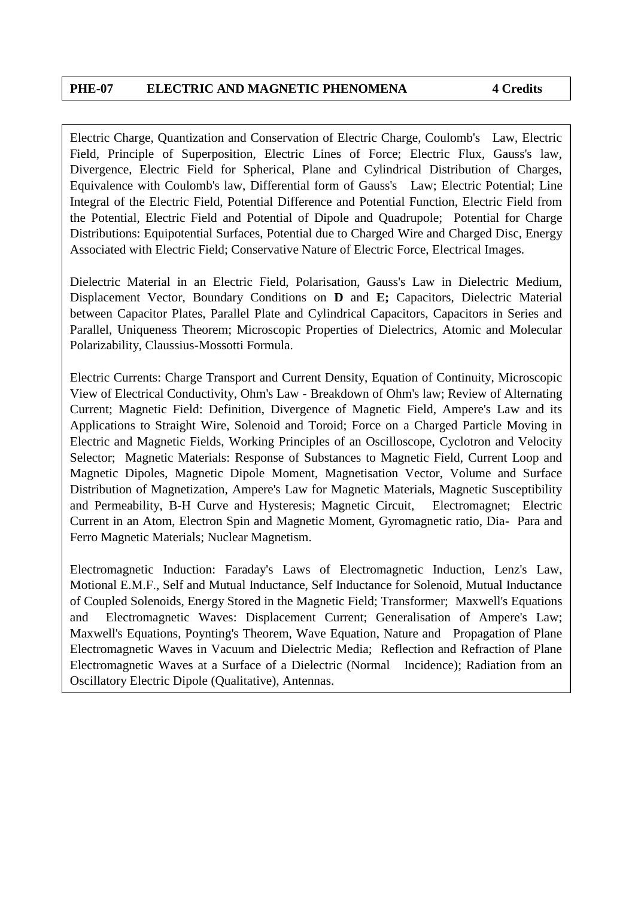Electric Charge, Quantization and Conservation of Electric Charge, Coulomb's Law, Electric Field, Principle of Superposition, Electric Lines of Force; Electric Flux, Gauss's law, Divergence, Electric Field for Spherical, Plane and Cylindrical Distribution of Charges, Equivalence with Coulomb's law, Differential form of Gauss's Law; Electric Potential; Line Integral of the Electric Field, Potential Difference and Potential Function, Electric Field from the Potential, Electric Field and Potential of Dipole and Quadrupole; Potential for Charge Distributions: Equipotential Surfaces, Potential due to Charged Wire and Charged Disc, Energy Associated with Electric Field; Conservative Nature of Electric Force, Electrical Images.

Dielectric Material in an Electric Field, Polarisation, Gauss's Law in Dielectric Medium, Displacement Vector, Boundary Conditions on **D** and **E;** Capacitors, Dielectric Material between Capacitor Plates, Parallel Plate and Cylindrical Capacitors, Capacitors in Series and Parallel, Uniqueness Theorem; Microscopic Properties of Dielectrics, Atomic and Molecular Polarizability, Claussius-Mossotti Formula.

Electric Currents: Charge Transport and Current Density, Equation of Continuity, Microscopic View of Electrical Conductivity, Ohm's Law - Breakdown of Ohm's law; Review of Alternating Current; Magnetic Field: Definition, Divergence of Magnetic Field, Ampere's Law and its Applications to Straight Wire, Solenoid and Toroid; Force on a Charged Particle Moving in Electric and Magnetic Fields, Working Principles of an Oscilloscope, Cyclotron and Velocity Selector; Magnetic Materials: Response of Substances to Magnetic Field, Current Loop and Magnetic Dipoles, Magnetic Dipole Moment, Magnetisation Vector, Volume and Surface Distribution of Magnetization, Ampere's Law for Magnetic Materials, Magnetic Susceptibility and Permeability, B-H Curve and Hysteresis; Magnetic Circuit, Electromagnet; Electric Current in an Atom, Electron Spin and Magnetic Moment, Gyromagnetic ratio, Dia- Para and Ferro Magnetic Materials; Nuclear Magnetism.

Electromagnetic Induction: Faraday's Laws of Electromagnetic Induction, Lenz's Law, Motional E.M.F., Self and Mutual Inductance, Self Inductance for Solenoid, Mutual Inductance of Coupled Solenoids, Energy Stored in the Magnetic Field; Transformer; Maxwell's Equations and Electromagnetic Waves: Displacement Current; Generalisation of Ampere's Law; Maxwell's Equations, Poynting's Theorem, Wave Equation, Nature and Propagation of Plane Electromagnetic Waves in Vacuum and Dielectric Media; Reflection and Refraction of Plane Electromagnetic Waves at a Surface of a Dielectric (Normal Incidence); Radiation from an Oscillatory Electric Dipole (Qualitative), Antennas.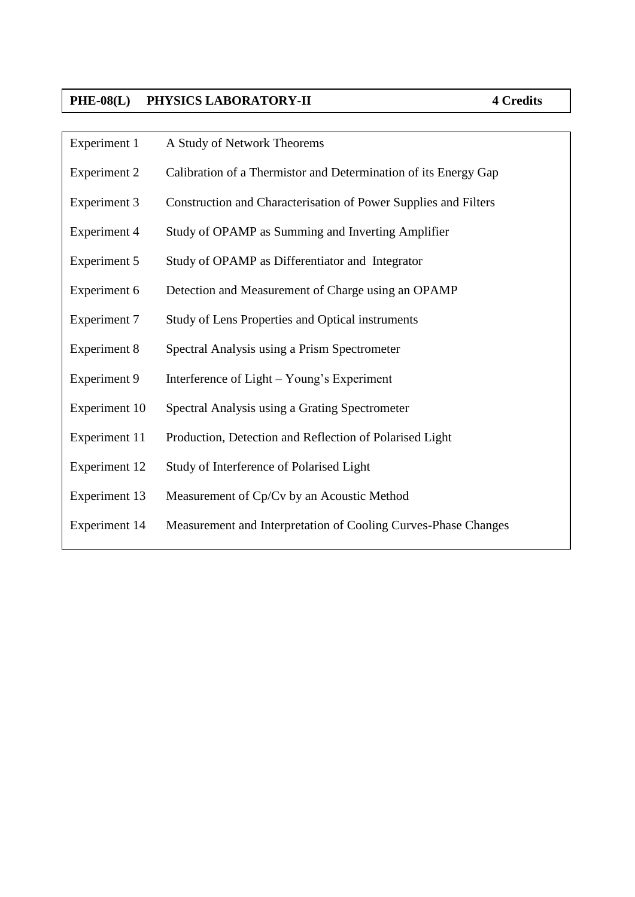# PHE-08(L) PHYSICS LABORATORY-II

| A Study of Network Theorems                                     |
|-----------------------------------------------------------------|
| Calibration of a Thermistor and Determination of its Energy Gap |
| Construction and Characterisation of Power Supplies and Filters |
| Study of OPAMP as Summing and Inverting Amplifier               |
| Study of OPAMP as Differentiator and Integrator                 |
| Detection and Measurement of Charge using an OPAMP              |
| <b>Study of Lens Properties and Optical instruments</b>         |
| Spectral Analysis using a Prism Spectrometer                    |
| Interference of Light – Young's Experiment                      |
| Spectral Analysis using a Grating Spectrometer                  |
| Production, Detection and Reflection of Polarised Light         |
| Study of Interference of Polarised Light                        |
| Measurement of Cp/Cv by an Acoustic Method                      |
| Measurement and Interpretation of Cooling Curves-Phase Changes  |
|                                                                 |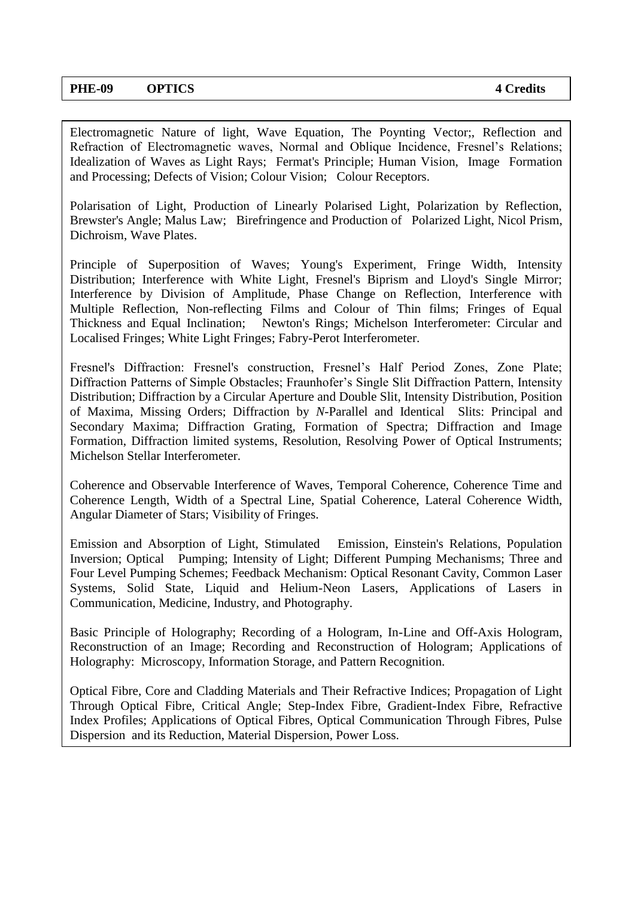Electromagnetic Nature of light, Wave Equation, The Poynting Vector;, Reflection and Refraction of Electromagnetic waves, Normal and Oblique Incidence, Fresnel's Relations; Idealization of Waves as Light Rays; Fermat's Principle; Human Vision, Image Formation and Processing; Defects of Vision; Colour Vision; Colour Receptors.

Polarisation of Light, Production of Linearly Polarised Light, Polarization by Reflection, Brewster's Angle; Malus Law; Birefringence and Production of Polarized Light, Nicol Prism, Dichroism, Wave Plates.

Principle of Superposition of Waves; Young's Experiment, Fringe Width, Intensity Distribution; Interference with White Light, Fresnel's Biprism and Lloyd's Single Mirror; Interference by Division of Amplitude, Phase Change on Reflection, Interference with Multiple Reflection, Non-reflecting Films and Colour of Thin films; Fringes of Equal Thickness and Equal Inclination; Newton's Rings; Michelson Interferometer: Circular and Localised Fringes; White Light Fringes; Fabry-Perot Interferometer.

Fresnel's Diffraction: Fresnel's construction, Fresnel's Half Period Zones, Zone Plate; Diffraction Patterns of Simple Obstacles; Fraunhofer's Single Slit Diffraction Pattern, Intensity Distribution; Diffraction by a Circular Aperture and Double Slit, Intensity Distribution, Position of Maxima, Missing Orders; Diffraction by *N*-Parallel and Identical Slits: Principal and Secondary Maxima; Diffraction Grating, Formation of Spectra; Diffraction and Image Formation, Diffraction limited systems, Resolution, Resolving Power of Optical Instruments; Michelson Stellar Interferometer.

Coherence and Observable Interference of Waves, Temporal Coherence, Coherence Time and Coherence Length, Width of a Spectral Line, Spatial Coherence, Lateral Coherence Width, Angular Diameter of Stars; Visibility of Fringes.

Emission and Absorption of Light, Stimulated Emission, Einstein's Relations, Population Inversion; Optical Pumping; Intensity of Light; Different Pumping Mechanisms; Three and Four Level Pumping Schemes; Feedback Mechanism: Optical Resonant Cavity, Common Laser Systems, Solid State, Liquid and Helium-Neon Lasers, Applications of Lasers in Communication, Medicine, Industry, and Photography.

Basic Principle of Holography; Recording of a Hologram, In-Line and Off-Axis Hologram, Reconstruction of an Image; Recording and Reconstruction of Hologram; Applications of Holography: Microscopy, Information Storage, and Pattern Recognition.

Optical Fibre, Core and Cladding Materials and Their Refractive Indices; Propagation of Light Through Optical Fibre, Critical Angle; Step-Index Fibre, Gradient-Index Fibre, Refractive Index Profiles; Applications of Optical Fibres, Optical Communication Through Fibres, Pulse Dispersion and its Reduction, Material Dispersion, Power Loss.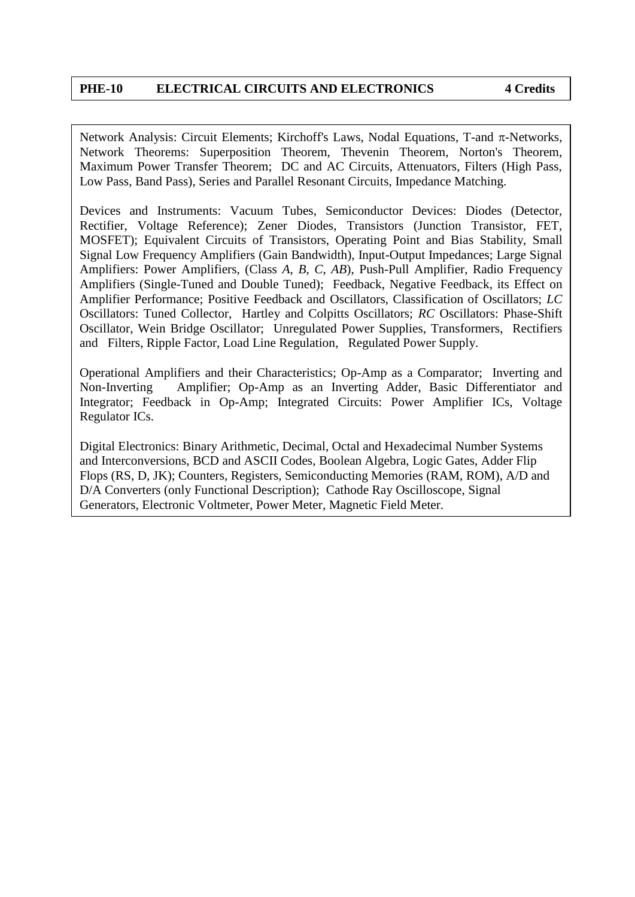#### **PHE-10 ELECTRICAL CIRCUITS AND ELECTRONICS 4 Credits**

Network Analysis: Circuit Elements; Kirchoff's Laws, Nodal Equations, T-and  $\pi$ -Networks, Network Theorems: Superposition Theorem, Thevenin Theorem, Norton's Theorem, Maximum Power Transfer Theorem; DC and AC Circuits, Attenuators, Filters (High Pass, Low Pass, Band Pass), Series and Parallel Resonant Circuits, Impedance Matching.

Devices and Instruments: Vacuum Tubes, Semiconductor Devices: Diodes (Detector, Rectifier, Voltage Reference); Zener Diodes, Transistors (Junction Transistor, FET, MOSFET); Equivalent Circuits of Transistors, Operating Point and Bias Stability, Small Signal Low Frequency Amplifiers (Gain Bandwidth), Input-Output Impedances; Large Signal Amplifiers: Power Amplifiers, (Class *A*, *B*, *C*, *AB*), Push-Pull Amplifier, Radio Frequency Amplifiers (Single-Tuned and Double Tuned); Feedback, Negative Feedback, its Effect on Amplifier Performance; Positive Feedback and Oscillators, Classification of Oscillators; *LC* Oscillators: Tuned Collector, Hartley and Colpitts Oscillators; *RC* Oscillators: Phase-Shift Oscillator, Wein Bridge Oscillator; Unregulated Power Supplies, Transformers, Rectifiers and Filters, Ripple Factor, Load Line Regulation, Regulated Power Supply.

Operational Amplifiers and their Characteristics; Op-Amp as a Comparator; Inverting and Non-Inverting Amplifier; Op-Amp as an Inverting Adder, Basic Differentiator and Integrator; Feedback in Op-Amp; Integrated Circuits: Power Amplifier ICs, Voltage Regulator ICs.

Digital Electronics: Binary Arithmetic, Decimal, Octal and Hexadecimal Number Systems and Interconversions, BCD and ASCII Codes, Boolean Algebra, Logic Gates, Adder Flip Flops (RS, D, JK); Counters, Registers, Semiconducting Memories (RAM, ROM), A/D and D/A Converters (only Functional Description); Cathode Ray Oscilloscope, Signal Generators, Electronic Voltmeter, Power Meter, Magnetic Field Meter.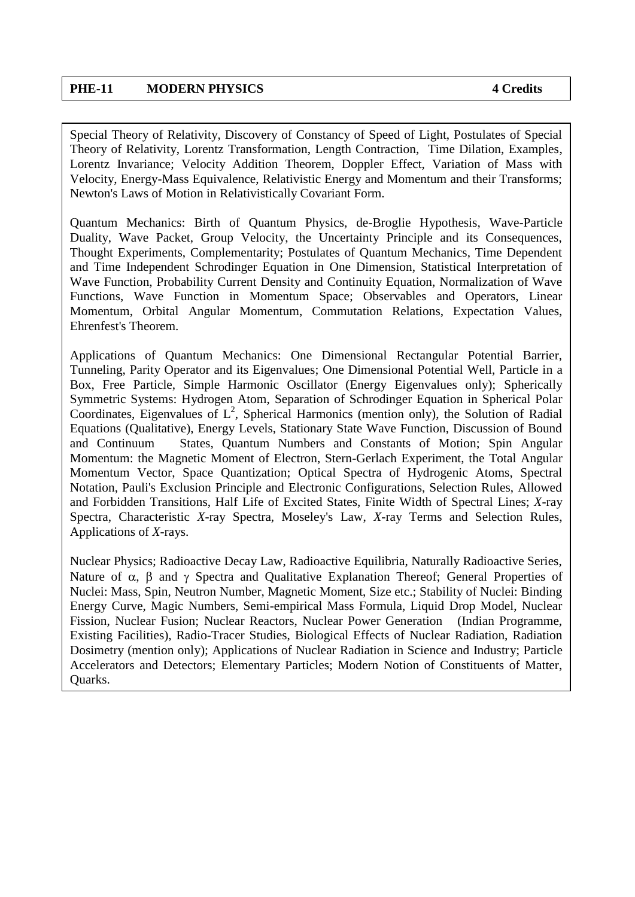Special Theory of Relativity, Discovery of Constancy of Speed of Light, Postulates of Special Theory of Relativity, Lorentz Transformation, Length Contraction, Time Dilation, Examples, Lorentz Invariance; Velocity Addition Theorem, Doppler Effect, Variation of Mass with Velocity, Energy-Mass Equivalence, Relativistic Energy and Momentum and their Transforms; Newton's Laws of Motion in Relativistically Covariant Form.

Quantum Mechanics: Birth of Quantum Physics, de-Broglie Hypothesis, Wave-Particle Duality, Wave Packet, Group Velocity, the Uncertainty Principle and its Consequences, Thought Experiments, Complementarity; Postulates of Quantum Mechanics, Time Dependent and Time Independent Schrodinger Equation in One Dimension, Statistical Interpretation of Wave Function, Probability Current Density and Continuity Equation, Normalization of Wave Functions, Wave Function in Momentum Space; Observables and Operators, Linear Momentum, Orbital Angular Momentum, Commutation Relations, Expectation Values, Ehrenfest's Theorem.

Applications of Quantum Mechanics: One Dimensional Rectangular Potential Barrier, Tunneling, Parity Operator and its Eigenvalues; One Dimensional Potential Well, Particle in a Box, Free Particle, Simple Harmonic Oscillator (Energy Eigenvalues only); Spherically Symmetric Systems: Hydrogen Atom, Separation of Schrodinger Equation in Spherical Polar Coordinates, Eigenvalues of  $L^2$ , Spherical Harmonics (mention only), the Solution of Radial Equations (Qualitative), Energy Levels, Stationary State Wave Function, Discussion of Bound and Continuum States, Quantum Numbers and Constants of Motion; Spin Angular Momentum: the Magnetic Moment of Electron, Stern-Gerlach Experiment, the Total Angular Momentum Vector, Space Quantization; Optical Spectra of Hydrogenic Atoms, Spectral Notation, Pauli's Exclusion Principle and Electronic Configurations, Selection Rules, Allowed and Forbidden Transitions, Half Life of Excited States, Finite Width of Spectral Lines; *X*-ray Spectra, Characteristic *X*-ray Spectra, Moseley's Law, *X*-ray Terms and Selection Rules, Applications of *X*-rays.

Nuclear Physics; Radioactive Decay Law, Radioactive Equilibria, Naturally Radioactive Series, Nature of  $\alpha$ ,  $\beta$  and  $\gamma$  Spectra and Qualitative Explanation Thereof; General Properties of Nuclei: Mass, Spin, Neutron Number, Magnetic Moment, Size etc.; Stability of Nuclei: Binding Energy Curve, Magic Numbers, Semi-empirical Mass Formula, Liquid Drop Model, Nuclear Fission, Nuclear Fusion; Nuclear Reactors, Nuclear Power Generation (Indian Programme, Existing Facilities), Radio-Tracer Studies, Biological Effects of Nuclear Radiation, Radiation Dosimetry (mention only); Applications of Nuclear Radiation in Science and Industry; Particle Accelerators and Detectors; Elementary Particles; Modern Notion of Constituents of Matter, Quarks.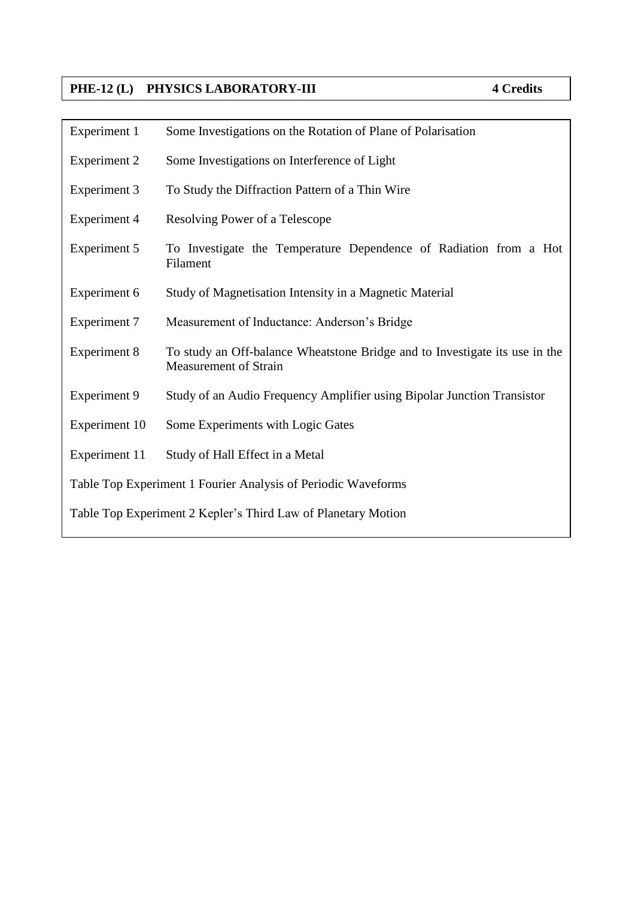## **PHE-12 (L) PHYSICS LABORATORY-III 4 Credits**

| Experiment 1                                                  | Some Investigations on the Rotation of Plane of Polarisation                                                |  |
|---------------------------------------------------------------|-------------------------------------------------------------------------------------------------------------|--|
| Experiment 2                                                  | Some Investigations on Interference of Light                                                                |  |
| Experiment 3                                                  | To Study the Diffraction Pattern of a Thin Wire                                                             |  |
| <b>Experiment 4</b>                                           | Resolving Power of a Telescope                                                                              |  |
| Experiment 5                                                  | To Investigate the Temperature Dependence of Radiation from a Hot<br>Filament                               |  |
| Experiment 6                                                  | Study of Magnetisation Intensity in a Magnetic Material                                                     |  |
| <b>Experiment 7</b>                                           | Measurement of Inductance: Anderson's Bridge                                                                |  |
| <b>Experiment 8</b>                                           | To study an Off-balance Wheatstone Bridge and to Investigate its use in the<br><b>Measurement of Strain</b> |  |
| <b>Experiment 9</b>                                           | Study of an Audio Frequency Amplifier using Bipolar Junction Transistor                                     |  |
| Experiment 10                                                 | Some Experiments with Logic Gates                                                                           |  |
| Experiment 11                                                 | Study of Hall Effect in a Metal                                                                             |  |
| Table Top Experiment 1 Fourier Analysis of Periodic Waveforms |                                                                                                             |  |
| Table Top Experiment 2 Kepler's Third Law of Planetary Motion |                                                                                                             |  |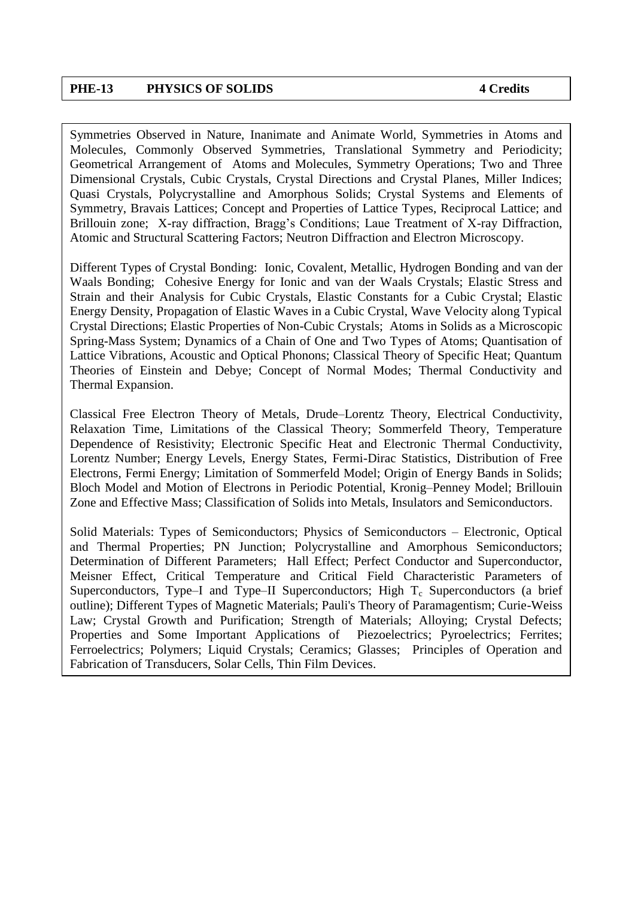#### **PHE-13 PHYSICS OF SOLIDS 4 Credits**

Symmetries Observed in Nature, Inanimate and Animate World, Symmetries in Atoms and Molecules, Commonly Observed Symmetries, Translational Symmetry and Periodicity; Geometrical Arrangement of Atoms and Molecules, Symmetry Operations; Two and Three Dimensional Crystals, Cubic Crystals, Crystal Directions and Crystal Planes, Miller Indices; Quasi Crystals, Polycrystalline and Amorphous Solids; Crystal Systems and Elements of Symmetry, Bravais Lattices; Concept and Properties of Lattice Types, Reciprocal Lattice; and Brillouin zone; X-ray diffraction, Bragg's Conditions; Laue Treatment of X-ray Diffraction, Atomic and Structural Scattering Factors; Neutron Diffraction and Electron Microscopy.

Different Types of Crystal Bonding: Ionic, Covalent, Metallic, Hydrogen Bonding and van der Waals Bonding; Cohesive Energy for Ionic and van der Waals Crystals; Elastic Stress and Strain and their Analysis for Cubic Crystals, Elastic Constants for a Cubic Crystal; Elastic Energy Density, Propagation of Elastic Waves in a Cubic Crystal, Wave Velocity along Typical Crystal Directions; Elastic Properties of Non-Cubic Crystals; Atoms in Solids as a Microscopic Spring-Mass System; Dynamics of a Chain of One and Two Types of Atoms; Quantisation of Lattice Vibrations, Acoustic and Optical Phonons; Classical Theory of Specific Heat; Quantum Theories of Einstein and Debye; Concept of Normal Modes; Thermal Conductivity and Thermal Expansion.

Classical Free Electron Theory of Metals, Drude–Lorentz Theory, Electrical Conductivity, Relaxation Time, Limitations of the Classical Theory; Sommerfeld Theory, Temperature Dependence of Resistivity; Electronic Specific Heat and Electronic Thermal Conductivity, Lorentz Number; Energy Levels, Energy States, Fermi-Dirac Statistics, Distribution of Free Electrons, Fermi Energy; Limitation of Sommerfeld Model; Origin of Energy Bands in Solids; Bloch Model and Motion of Electrons in Periodic Potential, Kronig–Penney Model; Brillouin Zone and Effective Mass; Classification of Solids into Metals, Insulators and Semiconductors.

Solid Materials: Types of Semiconductors; Physics of Semiconductors – Electronic, Optical and Thermal Properties; PN Junction; Polycrystalline and Amorphous Semiconductors; Determination of Different Parameters; Hall Effect; Perfect Conductor and Superconductor, Meisner Effect, Critical Temperature and Critical Field Characteristic Parameters of Superconductors, Type–I and Type–II Superconductors; High  $T_c$  Superconductors (a brief outline); Different Types of Magnetic Materials; Pauli's Theory of Paramagentism; Curie-Weiss Law; Crystal Growth and Purification; Strength of Materials; Alloying; Crystal Defects; Properties and Some Important Applications of Piezoelectrics; Pyroelectrics; Ferrites; Ferroelectrics; Polymers; Liquid Crystals; Ceramics; Glasses; Principles of Operation and Fabrication of Transducers, Solar Cells, Thin Film Devices.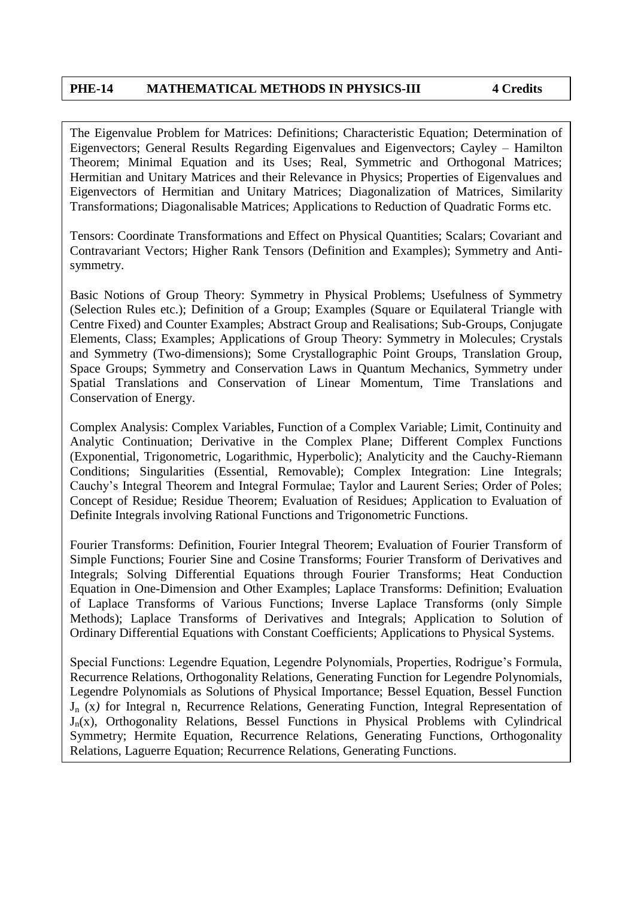The Eigenvalue Problem for Matrices: Definitions; Characteristic Equation; Determination of Eigenvectors; General Results Regarding Eigenvalues and Eigenvectors; Cayley – Hamilton Theorem; Minimal Equation and its Uses; Real, Symmetric and Orthogonal Matrices; Hermitian and Unitary Matrices and their Relevance in Physics; Properties of Eigenvalues and Eigenvectors of Hermitian and Unitary Matrices; Diagonalization of Matrices, Similarity Transformations; Diagonalisable Matrices; Applications to Reduction of Quadratic Forms etc.

Tensors: Coordinate Transformations and Effect on Physical Quantities; Scalars; Covariant and Contravariant Vectors; Higher Rank Tensors (Definition and Examples); Symmetry and Antisymmetry.

Basic Notions of Group Theory: Symmetry in Physical Problems; Usefulness of Symmetry (Selection Rules etc.); Definition of a Group; Examples (Square or Equilateral Triangle with Centre Fixed) and Counter Examples; Abstract Group and Realisations; Sub-Groups, Conjugate Elements, Class; Examples; Applications of Group Theory: Symmetry in Molecules; Crystals and Symmetry (Two-dimensions); Some Crystallographic Point Groups, Translation Group, Space Groups; Symmetry and Conservation Laws in Quantum Mechanics, Symmetry under Spatial Translations and Conservation of Linear Momentum, Time Translations and Conservation of Energy.

Complex Analysis: Complex Variables, Function of a Complex Variable; Limit, Continuity and Analytic Continuation; Derivative in the Complex Plane; Different Complex Functions (Exponential, Trigonometric, Logarithmic, Hyperbolic); Analyticity and the Cauchy-Riemann Conditions; Singularities (Essential, Removable); Complex Integration: Line Integrals; Cauchy's Integral Theorem and Integral Formulae; Taylor and Laurent Series; Order of Poles; Concept of Residue; Residue Theorem; Evaluation of Residues; Application to Evaluation of Definite Integrals involving Rational Functions and Trigonometric Functions.

Fourier Transforms: Definition, Fourier Integral Theorem; Evaluation of Fourier Transform of Simple Functions; Fourier Sine and Cosine Transforms; Fourier Transform of Derivatives and Integrals; Solving Differential Equations through Fourier Transforms; Heat Conduction Equation in One-Dimension and Other Examples; Laplace Transforms: Definition; Evaluation of Laplace Transforms of Various Functions; Inverse Laplace Transforms (only Simple Methods); Laplace Transforms of Derivatives and Integrals; Application to Solution of Ordinary Differential Equations with Constant Coefficients; Applications to Physical Systems.

Special Functions: Legendre Equation, Legendre Polynomials, Properties, Rodrigue's Formula, Recurrence Relations, Orthogonality Relations, Generating Function for Legendre Polynomials, Legendre Polynomials as Solutions of Physical Importance; Bessel Equation, Bessel Function J<sup>n</sup> (x*)* for Integral n, Recurrence Relations, Generating Function, Integral Representation of  $J_n(x)$ , Orthogonality Relations, Bessel Functions in Physical Problems with Cylindrical Symmetry; Hermite Equation, Recurrence Relations, Generating Functions, Orthogonality Relations, Laguerre Equation; Recurrence Relations, Generating Functions.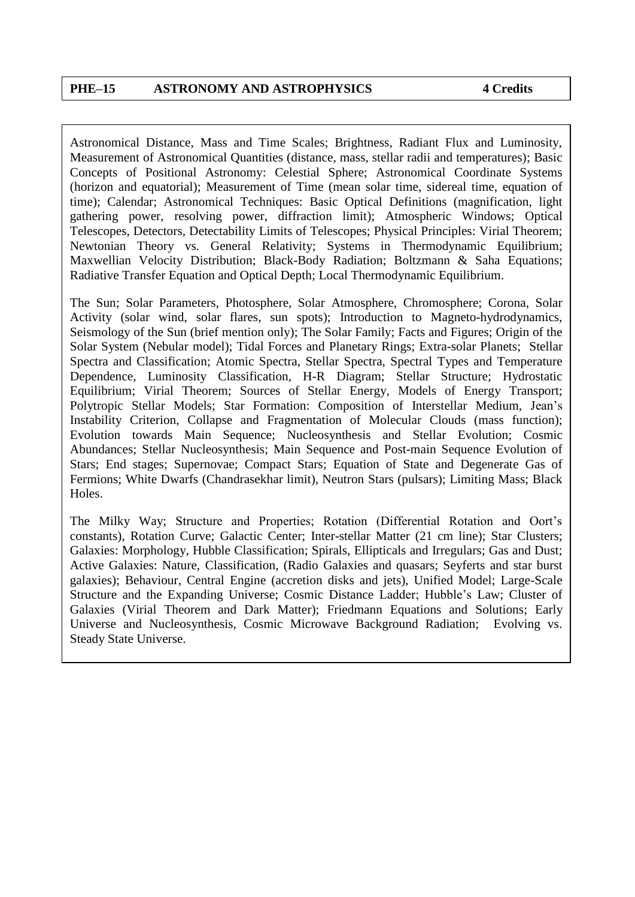Astronomical Distance, Mass and Time Scales; Brightness, Radiant Flux and Luminosity, Measurement of Astronomical Quantities (distance, mass, stellar radii and temperatures); Basic Concepts of Positional Astronomy: Celestial Sphere; Astronomical Coordinate Systems (horizon and equatorial); Measurement of Time (mean solar time, sidereal time, equation of time); Calendar; Astronomical Techniques: Basic Optical Definitions (magnification, light gathering power, resolving power, diffraction limit); Atmospheric Windows; Optical Telescopes, Detectors, Detectability Limits of Telescopes; Physical Principles: Virial Theorem; Newtonian Theory vs. General Relativity; Systems in Thermodynamic Equilibrium; Maxwellian Velocity Distribution; Black-Body Radiation; Boltzmann & Saha Equations; Radiative Transfer Equation and Optical Depth; Local Thermodynamic Equilibrium.

The Sun; Solar Parameters, Photosphere, Solar Atmosphere, Chromosphere; Corona, Solar Activity (solar wind, solar flares, sun spots); Introduction to Magneto-hydrodynamics, Seismology of the Sun (brief mention only); The Solar Family; Facts and Figures; Origin of the Solar System (Nebular model); Tidal Forces and Planetary Rings; Extra-solar Planets; Stellar Spectra and Classification; Atomic Spectra, Stellar Spectra, Spectral Types and Temperature Dependence, Luminosity Classification, H-R Diagram; Stellar Structure; Hydrostatic Equilibrium; Virial Theorem; Sources of Stellar Energy, Models of Energy Transport; Polytropic Stellar Models; Star Formation: Composition of Interstellar Medium, Jean's Instability Criterion, Collapse and Fragmentation of Molecular Clouds (mass function); Evolution towards Main Sequence; Nucleosynthesis and Stellar Evolution; Cosmic Abundances; Stellar Nucleosynthesis; Main Sequence and Post-main Sequence Evolution of Stars; End stages; Supernovae; Compact Stars; Equation of State and Degenerate Gas of Fermions; White Dwarfs (Chandrasekhar limit), Neutron Stars (pulsars); Limiting Mass; Black Holes.

The Milky Way; Structure and Properties; Rotation (Differential Rotation and Oort's constants), Rotation Curve; Galactic Center; Inter-stellar Matter (21 cm line); Star Clusters; Galaxies: Morphology, Hubble Classification; Spirals, Ellipticals and Irregulars; Gas and Dust; Active Galaxies: Nature, Classification, (Radio Galaxies and quasars; Seyferts and star burst galaxies); Behaviour, Central Engine (accretion disks and jets), Unified Model; Large-Scale Structure and the Expanding Universe; Cosmic Distance Ladder; Hubble's Law; Cluster of Galaxies (Virial Theorem and Dark Matter); Friedmann Equations and Solutions; Early Universe and Nucleosynthesis, Cosmic Microwave Background Radiation; Evolving vs. Steady State Universe.